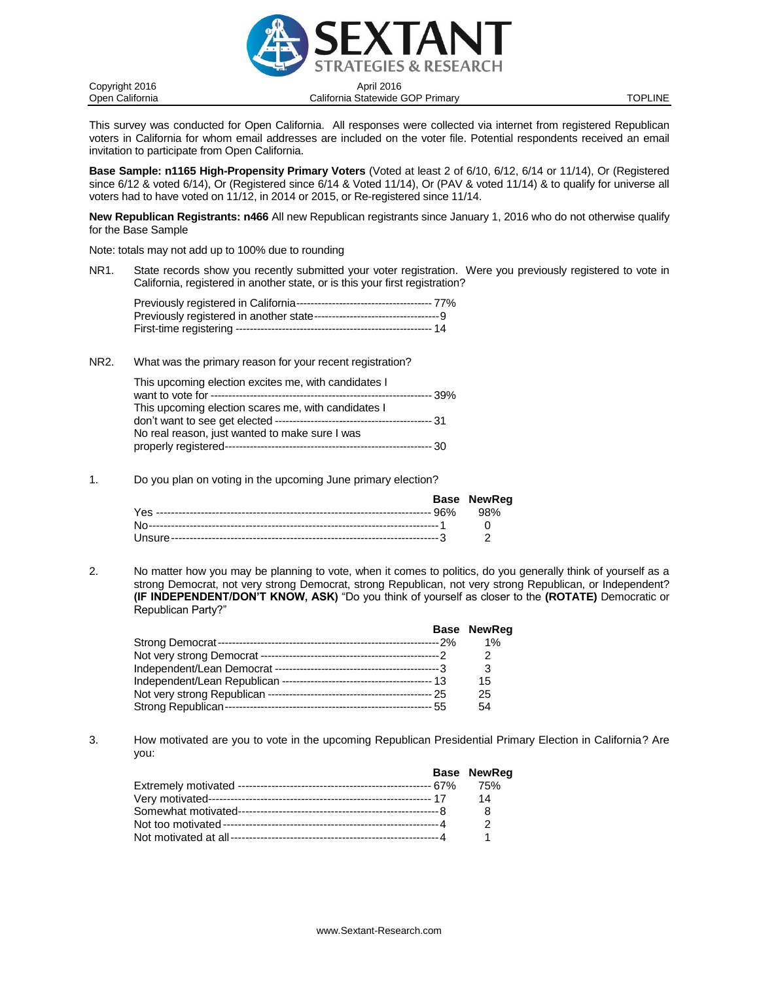

Open California California Statewide GOP Primary TOPLINE

This survey was conducted for Open California. All responses were collected via internet from registered Republican voters in California for whom email addresses are included on the voter file. Potential respondents received an email invitation to participate from Open California.

**Base Sample: n1165 High-Propensity Primary Voters** (Voted at least 2 of 6/10, 6/12, 6/14 or 11/14), Or (Registered since 6/12 & voted 6/14), Or (Registered since 6/14 & Voted 11/14), Or (PAV & voted 11/14) & to qualify for universe all voters had to have voted on 11/12, in 2014 or 2015, or Re-registered since 11/14.

**New Republican Registrants: n466** All new Republican registrants since January 1, 2016 who do not otherwise qualify for the Base Sample

Note: totals may not add up to 100% due to rounding

NR1. State records show you recently submitted your voter registration. Were you previously registered to vote in California, registered in another state, or is this your first registration?

NR2. What was the primary reason for your recent registration?

| This upcoming election excites me, with candidates I |  |
|------------------------------------------------------|--|
|                                                      |  |
| This upcoming election scares me, with candidates I  |  |
|                                                      |  |
| No real reason, just wanted to make sure I was       |  |
|                                                      |  |

1. Do you plan on voting in the upcoming June primary election?

|  | <b>Base NewReg</b> |
|--|--------------------|
|  |                    |
|  |                    |
|  |                    |

2. No matter how you may be planning to vote, when it comes to politics, do you generally think of yourself as a strong Democrat, not very strong Democrat, strong Republican, not very strong Republican, or Independent? **(IF INDEPENDENT/DON'T KNOW, ASK)** "Do you think of yourself as closer to the **(ROTATE)** Democratic or Republican Party?"

|  | <b>Base NewReg</b> |
|--|--------------------|
|  | $1\%$              |
|  | 2                  |
|  | 3                  |
|  | 15                 |
|  | 25                 |
|  | 54                 |

3. How motivated are you to vote in the upcoming Republican Presidential Primary Election in California? Are you:

|  | <b>Base NewReg</b> |
|--|--------------------|
|  | 75%                |
|  | 14                 |
|  | 8                  |
|  |                    |
|  |                    |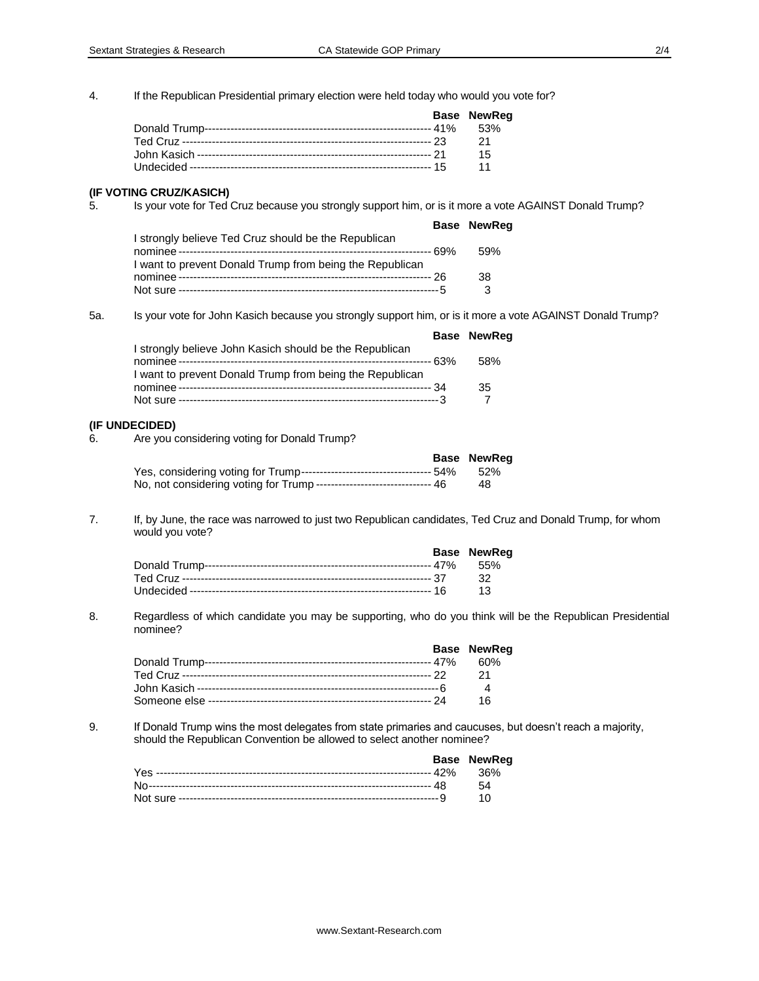4. If the Republican Presidential primary election were held today who would you vote for?

|  | <b>Base NewReg</b> |
|--|--------------------|
|  |                    |
|  | -21                |
|  | 15                 |
|  | 11                 |

#### **(IF VOTING CRUZ/KASICH)**

5. Is your vote for Ted Cruz because you strongly support him, or is it more a vote AGAINST Donald Trump?

|                                                                                                                  | <b>Base NewReg</b> |
|------------------------------------------------------------------------------------------------------------------|--------------------|
| I strongly believe Ted Cruz should be the Republican<br>I want to prevent Donald Trump from being the Republican | 59%                |
|                                                                                                                  | 38                 |
|                                                                                                                  | ર                  |

5a. Is your vote for John Kasich because you strongly support him, or is it more a vote AGAINST Donald Trump?

|                                                                                                                     | <b>Base NewReg</b> |
|---------------------------------------------------------------------------------------------------------------------|--------------------|
| I strongly believe John Kasich should be the Republican<br>I want to prevent Donald Trump from being the Republican | 58%                |
|                                                                                                                     | 35                 |

#### **(IF UNDECIDED)**

6. Are you considering voting for Donald Trump?

|                                                                         | Base NewReg |
|-------------------------------------------------------------------------|-------------|
|                                                                         |             |
| No, not considering voting for Trump ------------------------------- 46 | 48.         |

7. If, by June, the race was narrowed to just two Republican candidates, Ted Cruz and Donald Trump, for whom would you vote?

|  | <b>Base NewReg</b> |
|--|--------------------|
|  |                    |
|  |                    |
|  |                    |

8. Regardless of which candidate you may be supporting, who do you think will be the Republican Presidential nominee?

|  | <b>Base NewReg</b> |
|--|--------------------|
|  |                    |
|  | - 21               |
|  | $\overline{4}$     |
|  | 16                 |

9. If Donald Trump wins the most delegates from state primaries and caucuses, but doesn't reach a majority, should the Republican Convention be allowed to select another nominee?

|  | Base NewReg |
|--|-------------|
|  |             |
|  |             |
|  | 10          |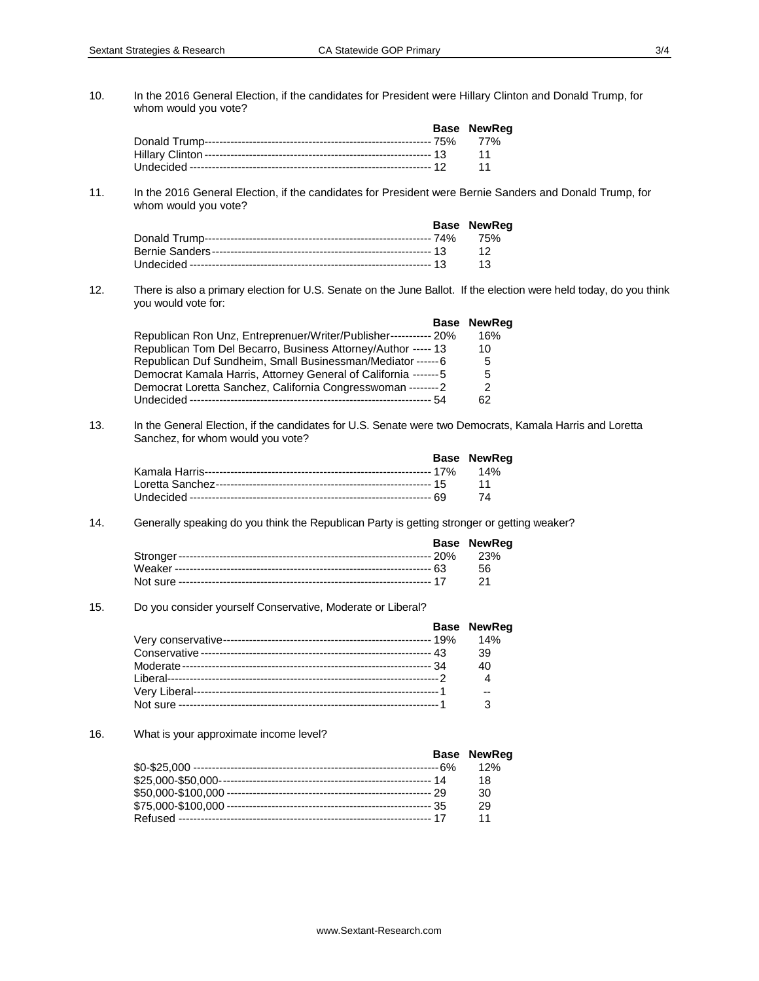10. In the 2016 General Election, if the candidates for President were Hillary Clinton and Donald Trump, for whom would you vote?

|  | <b>Base NewReg</b> |
|--|--------------------|
|  |                    |
|  |                    |
|  | $\cdot$ 11         |

11. In the 2016 General Election, if the candidates for President were Bernie Sanders and Donald Trump, for whom would you vote?

|  | <b>Base NewReg</b>       |
|--|--------------------------|
|  |                          |
|  |                          |
|  | $\overline{\mathbf{13}}$ |

12. There is also a primary election for U.S. Senate on the June Ballot. If the election were held today, do you think you would vote for:

|                                                                  | <b>Base NewReg</b> |
|------------------------------------------------------------------|--------------------|
| Republican Ron Unz, Entreprenuer/Writer/Publisher----------- 20% | 16%                |
| Republican Tom Del Becarro, Business Attorney/Author ----- 13    | 10                 |
| Republican Duf Sundheim, Small Businessman/Mediator ------6      | 5                  |
| Democrat Kamala Harris, Attorney General of California -------5  | 5                  |
| Democrat Loretta Sanchez, California Congresswoman -------- 2    | 2                  |
|                                                                  | 62                 |

13. In the General Election, if the candidates for U.S. Senate were two Democrats, Kamala Harris and Loretta Sanchez, for whom would you vote?

|  | <b>Base NewReg</b> |
|--|--------------------|
|  |                    |
|  |                    |
|  | -74                |

#### 14. Generally speaking do you think the Republican Party is getting stronger or getting weaker?

|  | <b>Base NewReg</b> |
|--|--------------------|
|  |                    |
|  | - 56               |
|  |                    |

# 15. Do you consider yourself Conservative, Moderate or Liberal?

|  | <b>Base NewReg</b> |
|--|--------------------|
|  | 14%                |
|  | 39                 |
|  | 40                 |
|  |                    |
|  | --                 |
|  |                    |

### 16. What is your approximate income level?

|  | <b>Base NewReg</b> |
|--|--------------------|
|  | 12%                |
|  | 18                 |
|  | 30                 |
|  | 29                 |
|  |                    |